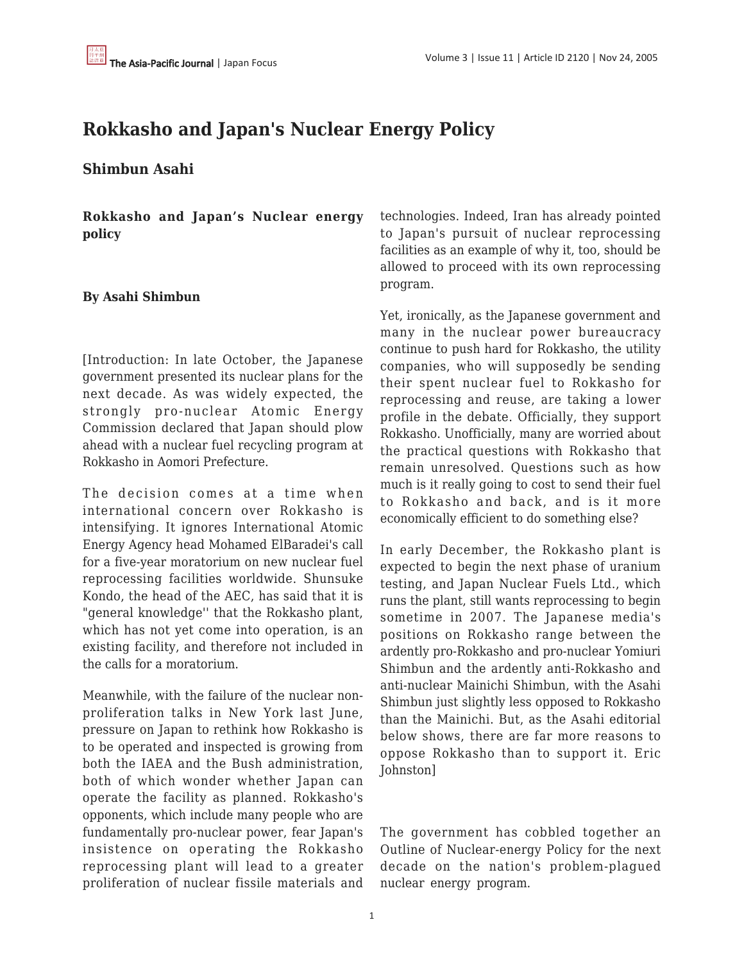## **Rokkasho and Japan's Nuclear Energy Policy**

## **Shimbun Asahi**

**Rokkasho and Japan's Nuclear energy policy**

## **By Asahi Shimbun**

[Introduction: In late October, the Japanese government presented its nuclear plans for the next decade. As was widely expected, the strongly pro-nuclear Atomic Energy Commission declared that Japan should plow ahead with a nuclear fuel recycling program at Rokkasho in Aomori Prefecture.

The decision comes at a time when international concern over Rokkasho is intensifying. It ignores International Atomic Energy Agency head Mohamed ElBaradei's call for a five-year moratorium on new nuclear fuel reprocessing facilities worldwide. Shunsuke Kondo, the head of the AEC, has said that it is "general knowledge'' that the Rokkasho plant, which has not yet come into operation, is an existing facility, and therefore not included in the calls for a moratorium.

Meanwhile, with the failure of the nuclear nonproliferation talks in New York last June, pressure on Japan to rethink how Rokkasho is to be operated and inspected is growing from both the IAEA and the Bush administration, both of which wonder whether Japan can operate the facility as planned. Rokkasho's opponents, which include many people who are fundamentally pro-nuclear power, fear Japan's insistence on operating the Rokkasho reprocessing plant will lead to a greater proliferation of nuclear fissile materials and technologies. Indeed, Iran has already pointed to Japan's pursuit of nuclear reprocessing facilities as an example of why it, too, should be allowed to proceed with its own reprocessing program.

Yet, ironically, as the Japanese government and many in the nuclear power bureaucracy continue to push hard for Rokkasho, the utility companies, who will supposedly be sending their spent nuclear fuel to Rokkasho for reprocessing and reuse, are taking a lower profile in the debate. Officially, they support Rokkasho. Unofficially, many are worried about the practical questions with Rokkasho that remain unresolved. Questions such as how much is it really going to cost to send their fuel to Rokkasho and back, and is it more economically efficient to do something else?

In early December, the Rokkasho plant is expected to begin the next phase of uranium testing, and Japan Nuclear Fuels Ltd., which runs the plant, still wants reprocessing to begin sometime in 2007. The Japanese media's positions on Rokkasho range between the ardently pro-Rokkasho and pro-nuclear Yomiuri Shimbun and the ardently anti-Rokkasho and anti-nuclear Mainichi Shimbun, with the Asahi Shimbun just slightly less opposed to Rokkasho than the Mainichi. But, as the Asahi editorial below shows, there are far more reasons to oppose Rokkasho than to support it. Eric Johnston]

The government has cobbled together an Outline of Nuclear-energy Policy for the next decade on the nation's problem-plagued nuclear energy program.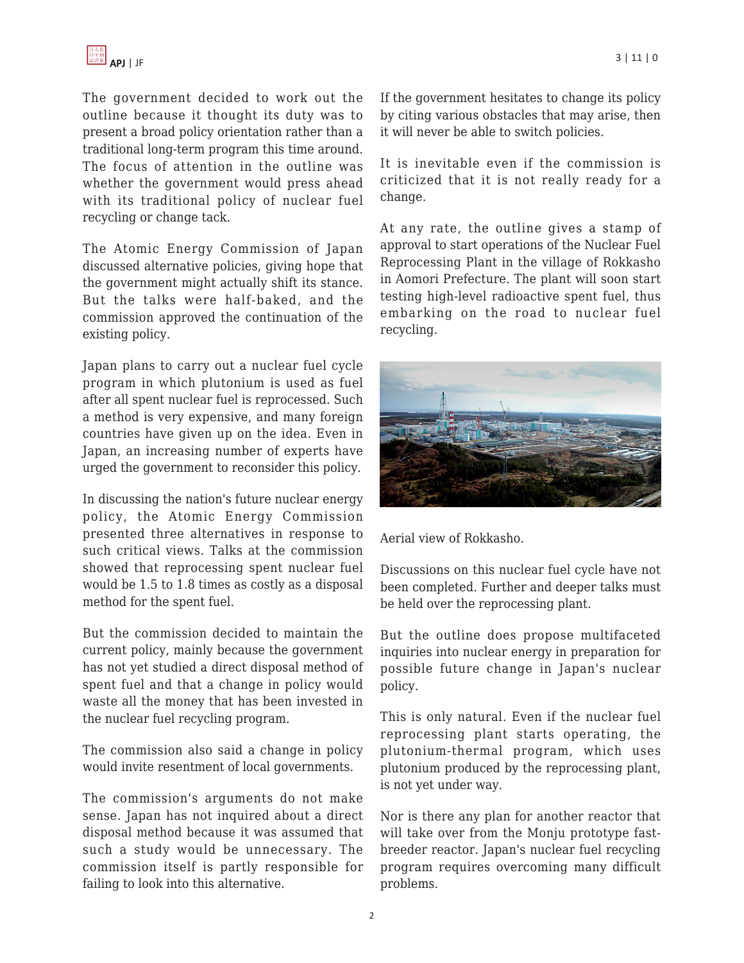

The government decided to work out the outline because it thought its duty was to present a broad policy orientation rather than a traditional long-term program this time around. The focus of attention in the outline was whether the government would press ahead with its traditional policy of nuclear fuel recycling or change tack.

The Atomic Energy Commission of Japan discussed alternative policies, giving hope that the government might actually shift its stance. But the talks were half-baked, and the commission approved the continuation of the existing policy.

Japan plans to carry out a nuclear fuel cycle program in which plutonium is used as fuel after all spent nuclear fuel is reprocessed. Such a method is very expensive, and many foreign countries have given up on the idea. Even in Japan, an increasing number of experts have urged the government to reconsider this policy.

In discussing the nation's future nuclear energy policy, the Atomic Energy Commission presented three alternatives in response to such critical views. Talks at the commission showed that reprocessing spent nuclear fuel would be 1.5 to 1.8 times as costly as a disposal method for the spent fuel.

But the commission decided to maintain the current policy, mainly because the government has not yet studied a direct disposal method of spent fuel and that a change in policy would waste all the money that has been invested in the nuclear fuel recycling program.

The commission also said a change in policy would invite resentment of local governments.

The commission's arguments do not make sense. Japan has not inquired about a direct disposal method because it was assumed that such a study would be unnecessary. The commission itself is partly responsible for failing to look into this alternative.

If the government hesitates to change its policy by citing various obstacles that may arise, then it will never be able to switch policies.

It is inevitable even if the commission is criticized that it is not really ready for a change.

At any rate, the outline gives a stamp of approval to start operations of the Nuclear Fuel Reprocessing Plant in the village of Rokkasho in Aomori Prefecture. The plant will soon start testing high-level radioactive spent fuel, thus embarking on the road to nuclear fuel recycling.



Aerial view of Rokkasho.

Discussions on this nuclear fuel cycle have not been completed. Further and deeper talks must be held over the reprocessing plant.

But the outline does propose multifaceted inquiries into nuclear energy in preparation for possible future change in Japan's nuclear policy.

This is only natural. Even if the nuclear fuel reprocessing plant starts operating, the plutonium-thermal program, which uses plutonium produced by the reprocessing plant, is not yet under way.

Nor is there any plan for another reactor that will take over from the Monju prototype fastbreeder reactor. Japan's nuclear fuel recycling program requires overcoming many difficult problems.